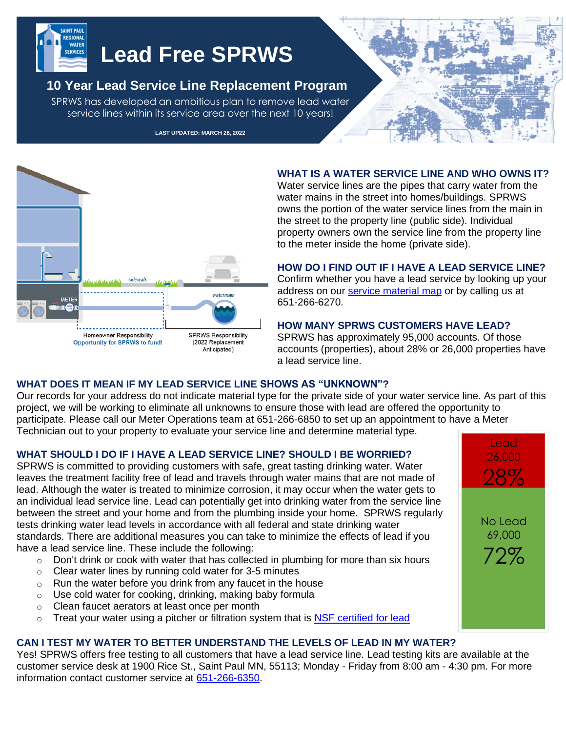

# **Lead Free SPRWS**

# **10 Year Lead Service Line Replacement Program**

SPRWS has developed an ambitious plan to remove lead water service lines within its service area over the next 10 years!

**LAST UPDATED: MARCH 28, 2022**



#### **WHAT IS A WATER SERVICE LINE AND WHO OWNS IT?**

Water service lines are the pipes that carry water from the water mains in the street into homes/buildings. SPRWS owns the portion of the water service lines from the main in the street to the property line (public side). Individual property owners own the service line from the property line to the meter inside the home (private side).

#### **HOW DO I FIND OUT IF I HAVE A LEAD SERVICE LINE?**

Confirm whether you have a lead service by looking up your address on our [service material map](https://sprwsonline.maps.arcgis.com/apps/webappviewer/index.html?id=ed290ef4687748388e406a80cb7731c9) or by calling us at 651-266-6270.

#### **HOW MANY SPRWS CUSTOMERS HAVE LEAD?**

SPRWS has approximately 95,000 accounts. Of those accounts (properties), about 28% or 26,000 properties have a lead service line.

# **WHAT DOES IT MEAN IF MY LEAD SERVICE LINE SHOWS AS "UNKNOWN"?**

Our records for your address do not indicate material type for the private side of your water service line. As part of this project, we will be working to eliminate all unknowns to ensure those with lead are offered the opportunity to participate. Please call our Meter Operations team at 651-266-6850 to set up an appointment to have a Meter Technician out to your property to evaluate your service line and determine material type.

# **WHAT SHOULD I DO IF I HAVE A LEAD SERVICE LINE? SHOULD I BE WORRIED?**

SPRWS is committed to providing customers with safe, great tasting drinking water. Water leaves the treatment facility free of lead and travels through water mains that are not made of lead. Although the water is treated to minimize corrosion, it may occur when the water gets to an individual lead service line. Lead can potentially get into drinking water from the service line between the street and your home and from the plumbing inside your home. SPRWS regularly tests drinking water lead levels in accordance with all federal and state drinking water standards. There are additional measures you can take to minimize the effects of lead if you have a lead service line. These include the following:

- o Don't drink or cook with water that has collected in plumbing for more than six hours
- o Clear water lines by running cold water for 3-5 minutes
- $\circ$  Run the water before you drink from any faucet in the house
- o Use cold water for cooking, drinking, making baby formula
- o Clean faucet aerators at least once per month
- $\circ$  Treat your water using a pitcher or filtration system that is [NSF certified for lead](https://info.nsf.org/Certified/DWTU/listings_leadreduction.asp?ProductFunction=053%7CLead%2BReduction&ProductFunction=058%7CLead%2BReduction&ProductType=&submit2=Search)

# **CAN I TEST MY WATER TO BETTER UNDERSTAND THE LEVELS OF LEAD IN MY WATER?**

Yes! SPRWS offers free testing to all customers that have a lead service line. Lead testing kits are available at the customer service desk at 1900 Rice St., Saint Paul MN, 55113; Monday - Friday from 8:00 am - 4:30 pm. For more information contact customer service at [651-266-6350.](tel:6512666350)

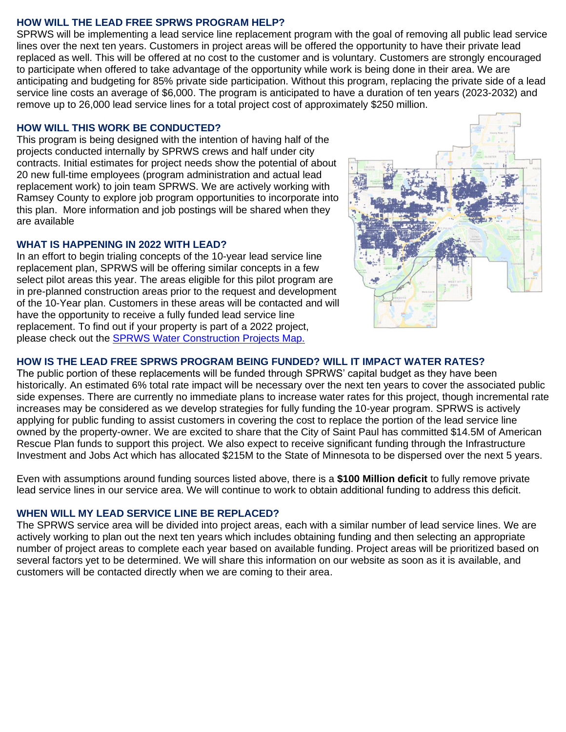#### **HOW WILL THE LEAD FREE SPRWS PROGRAM HELP?**

SPRWS will be implementing a lead service line replacement program with the goal of removing all public lead service lines over the next ten years. Customers in project areas will be offered the opportunity to have their private lead replaced as well. This will be offered at no cost to the customer and is voluntary. Customers are strongly encouraged to participate when offered to take advantage of the opportunity while work is being done in their area. We are anticipating and budgeting for 85% private side participation. Without this program, replacing the private side of a lead service line costs an average of \$6,000. The program is anticipated to have a duration of ten years (2023-2032) and remove up to 26,000 lead service lines for a total project cost of approximately \$250 million.

#### **HOW WILL THIS WORK BE CONDUCTED?**

This program is being designed with the intention of having half of the projects conducted internally by SPRWS crews and half under city contracts. Initial estimates for project needs show the potential of about 20 new full-time employees (program administration and actual lead replacement work) to join team SPRWS. We are actively working with Ramsey County to explore job program opportunities to incorporate into this plan. More information and job postings will be shared when they are available

#### **WHAT IS HAPPENING IN 2022 WITH LEAD?**

In an effort to begin trialing concepts of the 10-year lead service line replacement plan, SPRWS will be offering similar concepts in a few select pilot areas this year. The areas eligible for this pilot program are in pre-planned construction areas prior to the request and development of the 10-Year plan. Customers in these areas will be contacted and will have the opportunity to receive a fully funded lead service line replacement. To find out if your property is part of a 2022 project, please check out the **SPRWS Water Construction Projects Map.** 



#### **HOW IS THE LEAD FREE SPRWS PROGRAM BEING FUNDED? WILL IT IMPACT WATER RATES?**

The public portion of these replacements will be funded through SPRWS' capital budget as they have been historically. An estimated 6% total rate impact will be necessary over the next ten years to cover the associated public side expenses. There are currently no immediate plans to increase water rates for this project, though incremental rate increases may be considered as we develop strategies for fully funding the 10-year program. SPRWS is actively applying for public funding to assist customers in covering the cost to replace the portion of the lead service line owned by the property-owner. We are excited to share that the City of Saint Paul has committed \$14.5M of American Rescue Plan funds to support this project. We also expect to receive significant funding through the Infrastructure Investment and Jobs Act which has allocated \$215M to the State of Minnesota to be dispersed over the next 5 years.

Even with assumptions around funding sources listed above, there is a **\$100 Million deficit** to fully remove private lead service lines in our service area. We will continue to work to obtain additional funding to address this deficit.

#### **WHEN WILL MY LEAD SERVICE LINE BE REPLACED?**

The SPRWS service area will be divided into project areas, each with a similar number of lead service lines. We are actively working to plan out the next ten years which includes obtaining funding and then selecting an appropriate number of project areas to complete each year based on available funding. Project areas will be prioritized based on several factors yet to be determined. We will share this information on our website as soon as it is available, and customers will be contacted directly when we are coming to their area.